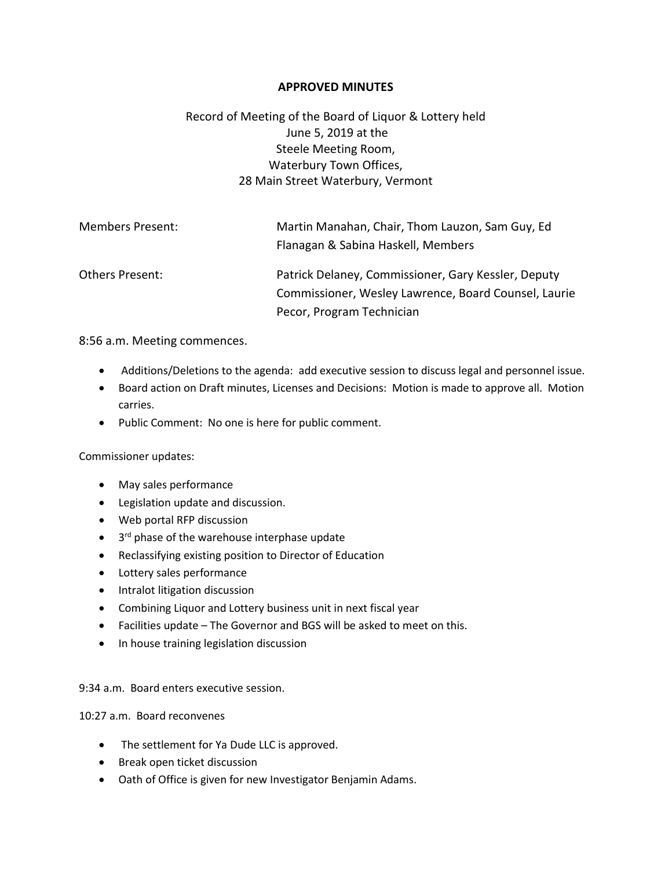## **APPROVED MINUTES**

## Record of Meeting of the Board of Liquor & Lottery held June 5, 2019 at the Steele Meeting Room, Waterbury Town Offices, 28 Main Street Waterbury, Vermont

| <b>Members Present:</b> | Martin Manahan, Chair, Thom Lauzon, Sam Guy, Ed<br>Flanagan & Sabina Haskell, Members                       |
|-------------------------|-------------------------------------------------------------------------------------------------------------|
| Others Present:         | Patrick Delaney, Commissioner, Gary Kessler, Deputy<br>Commissioner, Wesley Lawrence, Board Counsel, Laurie |
|                         | Pecor, Program Technician                                                                                   |

8:56 a.m. Meeting commences.

- Additions/Deletions to the agenda: add executive session to discuss legal and personnel issue.
- Board action on Draft minutes, Licenses and Decisions: Motion is made to approve all. Motion carries.
- Public Comment: No one is here for public comment.

Commissioner updates:

- May sales performance
- Legislation update and discussion.
- Web portal RFP discussion
- 3<sup>rd</sup> phase of the warehouse interphase update
- Reclassifying existing position to Director of Education
- Lottery sales performance
- Intralot litigation discussion
- Combining Liquor and Lottery business unit in next fiscal year
- Facilities update The Governor and BGS will be asked to meet on this.
- In house training legislation discussion

9:34 a.m. Board enters executive session.

10:27 a.m. Board reconvenes

- The settlement for Ya Dude LLC is approved.
- Break open ticket discussion
- Oath of Office is given for new Investigator Benjamin Adams.